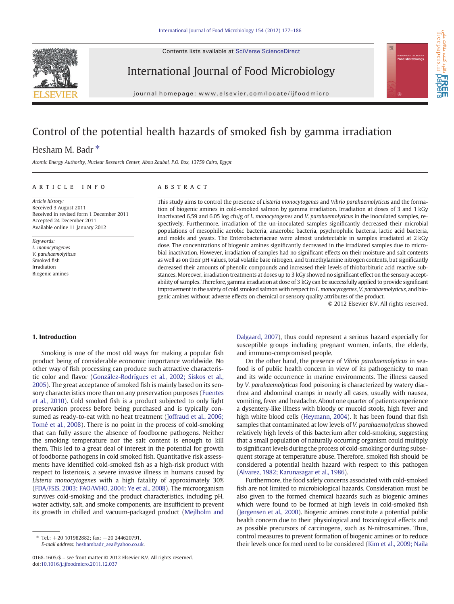Contents lists available at [SciVerse ScienceDirect](http://www.sciencedirect.com/science/journal/01681605)





freepapers.ir

 $\frac{1}{20}$ 

International Journal of Food Microbiology

journal homepage: www.elsevier.com/locate/ijfoodmicro

# Control of the potential health hazards of smoked fish by gamma irradiation

## Hesham M. Badr<sup>\*</sup>

Atomic Energy Authority, Nuclear Research Center, Abou Zaabal, P.O. Box, 13759 Cairo, Egypt

#### article info abstract

Article history: Received 3 August 2011 Received in revised form 1 December 2011 Accepted 24 December 2011 Available online 11 January 2012

Keywords: L. monocytogenes V. parahaemolyticus Smoked fish Irradiation Biogenic amines

This study aims to control the presence of Listeria monocytogenes and Vibrio parahaemolyticus and the formation of biogenic amines in cold-smoked salmon by gamma irradiation. Irradiation at doses of 3 and 1 kGy inactivated 6.59 and 6.05 log cfu/g of L. monocytogenes and V. parahaemolyticus in the inoculated samples, respectively. Furthermore, irradiation of the un-inoculated samples significantly decreased their microbial populations of mesophilic aerobic bacteria, anaerobic bacteria, psychrophilic bacteria, lactic acid bacteria, and molds and yeasts. The Enterobacteriaceae were almost undetectable in samples irradiated at 2 kGy dose. The concentrations of biogenic amines significantly decreased in the irradiated samples due to microbial inactivation. However, irradiation of samples had no significant effects on their moisture and salt contents as well as on their pH values, total volatile base nitrogen, and trimethylamine nitrogen contents, but significantly decreased their amounts of phenolic compounds and increased their levels of thiobarbituric acid reactive substances. Moreover, irradiation treatments at doses up to 3 kGy showed no significant effect on the sensory acceptability of samples. Therefore, gamma irradiation at dose of 3 kGy can be successfully applied to provide significant improvement in the safety of cold smoked salmon with respect to L. monocytogenes, V. parahaemolyticus, and biogenic amines without adverse effects on chemical or sensory quality attributes of the product.

© 2012 Elsevier B.V. All rights reserved.

#### 1. Introduction

Smoking is one of the most old ways for making a popular fish product being of considerable economic importance worldwide. No other way of fish processing can produce such attractive characteristic color and flavor [\(González-Rodrígues et al., 2002; Siskos et al.,](#page-9-0) [2005\)](#page-9-0). The great acceptance of smoked fish is mainly based on its sensory characteristics more than on any preservation purposes [\(Fuentes](#page-9-0) [et al., 2010](#page-9-0)). Cold smoked fish is a product subjected to only light preservation process before being purchased and is typically consumed as ready-to-eat with no heat treatment [\(Joffraud et al., 2006;](#page-9-0) [Tomé et al., 2008](#page-9-0)). There is no point in the process of cold-smoking that can fully assure the absence of foodborne pathogens. Neither the smoking temperature nor the salt content is enough to kill them. This led to a great deal of interest in the potential for growth of foodborne pathogens in cold smoked fish. Quantitative risk assessments have identified cold-smoked fish as a high-risk product with respect to listeriosis, a severe invasive illness in humans caused by Listeria monocytogenes with a high fatality of approximately 30% [\(FDA/FSIS, 2003; FAO/WHO, 2004; Ye et al., 2008](#page-9-0)). The microorganism survives cold-smoking and the product characteristics, including pH, water activity, salt, and smoke components, are insufficient to prevent its growth in chilled and vacuum-packaged product [\(Mejlholm and](#page-9-0)

[Dalgaard, 2007\)](#page-9-0), thus could represent a serious hazard especially for susceptible groups including pregnant women, infants, the elderly, and immuno-compromised people.

On the other hand, the presence of Vibrio parahaemolyticus in seafood is of public health concern in view of its pathogenicity to man and its wide occurrence in marine environments. The illness caused by V. parahaemolyticus food poisoning is characterized by watery diarrhea and abdominal cramps in nearly all cases, usually with nausea, vomiting, fever and headache. About one quarter of patients experience a dysentery-like illness with bloody or mucoid stools, high fever and high white blood cells [\(Heymann, 2004](#page-9-0)). It has been found that fish samples that contaminated at low levels of V. parahaemolyticus showed relatively high levels of this bacterium after cold-smoking, suggesting that a small population of naturally occurring organism could multiply to significant levels during the process of cold-smoking or during subsequent storage at temperature abuse. Therefore, smoked fish should be considered a potential health hazard with respect to this pathogen [\(Alvarez, 1982; Karunasagar et al., 1986\)](#page-9-0).

Furthermore, the food safety concerns associated with cold-smoked fish are not limited to microbiological hazards. Consideration must be also given to the formed chemical hazards such as biogenic amines which were found to be formed at high levels in cold-smoked fish [\(Jørgensen et al., 2000](#page-9-0)). Biogenic amines constitute a potential public health concern due to their physiological and toxicological effects and as possible precursors of carcinogens, such as N-nitrosamines. Thus, control measures to prevent formation of biogenic amines or to reduce their levels once formed need to be considered [\(Kim et al., 2009; Naila](#page-9-0)

 $*$  Tel.:  $+20$  101982882; fax:  $+20$  244620791. E-mail address: [heshambadr\\_aea@yahoo.co.uk.](mailto:heshambadr_aea@yahoo.co.uk)

<sup>0168-1605/\$</sup> – see front matter © 2012 Elsevier B.V. All rights reserved. doi:[10.1016/j.ijfoodmicro.2011.12.037](http://dx.doi.org/10.1016/j.ijfoodmicro.2011.12.037)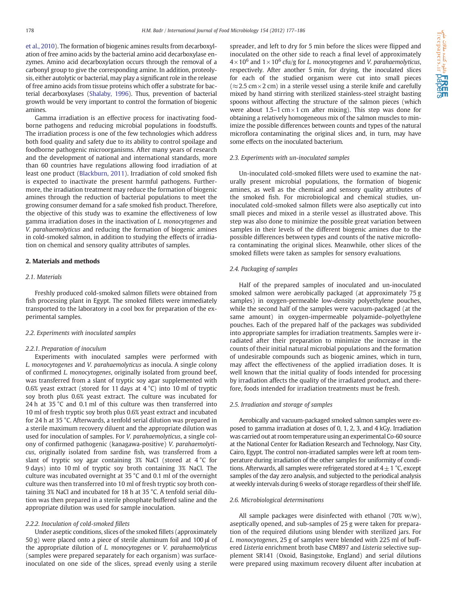[et al., 2010\)](#page-9-0). The formation of biogenic amines results from decarboxylation of free amino acids by the bacterial amino acid decarboxylase enzymes. Amino acid decarboxylation occurs through the removal of a carbonyl group to give the corresponding amine. In addition, proteolysis, either autolytic or bacterial, may play a significant role in the release of free amino acids from tissue proteins which offer a substrate for bacterial decarboxylases [\(Shalaby, 1996\)](#page-9-0). Thus, prevention of bacterial growth would be very important to control the formation of biogenic amines.

Gamma irradiation is an effective process for inactivating foodborne pathogens and reducing microbial populations in foodstuffs. The irradiation process is one of the few technologies which address both food quality and safety due to its ability to control spoilage and foodborne pathogenic microorganisms. After many years of research and the development of national and international standards, more than 60 countries have regulations allowing food irradiation of at least one product [\(Blackburn, 2011\)](#page-9-0). Irradiation of cold smoked fish is expected to inactivate the present harmful pathogens. Furthermore, the irradiation treatment may reduce the formation of biogenic amines through the reduction of bacterial populations to meet the growing consumer demand for a safe smoked fish product. Therefore, the objective of this study was to examine the effectiveness of low gamma irradiation doses in the inactivation of L. monocytogenes and V. parahaemolyticus and reducing the formation of biogenic amines in cold-smoked salmon, in addition to studying the effects of irradiation on chemical and sensory quality attributes of samples.

#### 2. Materials and methods

#### 2.1. Materials

Freshly produced cold-smoked salmon fillets were obtained from fish processing plant in Egypt. The smoked fillets were immediately transported to the laboratory in a cool box for preparation of the experimental samples.

#### 2.2. Experiments with inoculated samples

#### 2.2.1. Preparation of inoculum

Experiments with inoculated samples were performed with L. monocytogenes and V. parahaemolyticus as inocula. A single colony of confirmed L. monocytogenes, originally isolated from ground beef, was transferred from a slant of tryptic soy agar supplemented with 0.6% yeast extract (stored for 11 days at 4 °C) into 10 ml of tryptic soy broth plus 0.6% yeast extract. The culture was incubated for 24 h at 35 °C and 0.1 ml of this culture was then transferred into 10 ml of fresh tryptic soy broth plus 0.6% yeast extract and incubated for 24 h at 35 °C. Afterwards, a tenfold serial dilution was prepared in a sterile maximum recovery diluent and the appropriate dilution was used for inoculation of samples. For V. parahaemolyticus, a single colony of confirmed pathogenic (kanagawa-positive) V. parahaemolyticus, originally isolated from sardine fish, was transferred from a slant of tryptic soy agar containing 3% NaCl (stored at 4 °C for 9 days) into 10 ml of tryptic soy broth containing 3% NaCl. The culture was incubated overnight at 35 °C and 0.1 ml of the overnight culture was then transferred into 10 ml of fresh tryptic soy broth containing 3% NaCl and incubated for 18 h at 35 °C. A tenfold serial dilution was then prepared in a sterile phosphate buffered saline and the appropriate dilution was used for sample inoculation.

#### 2.2.2. Inoculation of cold-smoked fillets

Under aseptic conditions, slices of the smoked fillets (approximately 50 g) were placed onto a piece of sterile aluminum foil and 100 μl of the appropriate dilution of L. monocytogenes or V. parahaemolyticus (samples were prepared separately for each organism) was surfaceinoculated on one side of the slices, spread evenly using a sterile

spreader, and left to dry for 5 min before the slices were flipped and inoculated on the other side to reach a final level of approximately  $4\times10^6$  and  $1\times10^6$  cfu/g for L. monocytogenes and V. parahaemolyticus, respectively. After another 5 min, for drying, the inoculated slices for each of the studied organism were cut into small pieces  $(\approx 2.5 \text{ cm} \times 2 \text{ cm})$  in a sterile vessel using a sterile knife and carefully mixed by hand stirring with sterilized stainless-steel straight basting spoons without affecting the structure of the salmon pieces (which were about 1.5–1 cm $\times$ 1 cm after mixing). This step was done for obtaining a relatively homogeneous mix of the salmon muscles to minimize the possible differences between counts and types of the natural microflora contaminating the original slices and, in turn, may have some effects on the inoculated bacterium.

#### 2.3. Experiments with un-inoculated samples

Un-inoculated cold-smoked fillets were used to examine the naturally present microbial populations, the formation of biogenic amines, as well as the chemical and sensory quality attributes of the smoked fish. For microbiological and chemical studies, uninoculated cold-smoked salmon fillets were also aseptically cut into small pieces and mixed in a sterile vessel as illustrated above. This step was also done to minimize the possible great variation between samples in their levels of the different biogenic amines due to the possible differences between types and counts of the native microflora contaminating the original slices. Meanwhile, other slices of the smoked fillets were taken as samples for sensory evaluations.

#### 2.4. Packaging of samples

Half of the prepared samples of inoculated and un-inoculated smoked salmon were aerobically packaged (at approximately 75 g samples) in oxygen-permeable low-density polyethylene pouches, while the second half of the samples were vacuum-packaged (at the same amount) in oxygen-impermeable polyamide–polyethylene pouches. Each of the prepared half of the packages was subdivided into appropriate samples for irradiation treatments. Samples were irradiated after their preparation to minimize the increase in the counts of their initial natural microbial populations and the formation of undesirable compounds such as biogenic amines, which in turn, may affect the effectiveness of the applied irradiation doses. It is well known that the initial quality of foods intended for processing by irradiation affects the quality of the irradiated product, and therefore, foods intended for irradiation treatments must be fresh.

#### 2.5. Irradiation and storage of samples

Aerobically and vacuum-packaged smoked salmon samples were exposed to gamma irradiation at doses of 0, 1, 2, 3, and 4 kGy. Irradiation was carried out at room temperature using an experimental Co-60 source at the National Center for Radiation Research and Technology, Nasr City, Cairo, Egypt. The control non-irradiated samples were left at room temperature during irradiation of the other samples for uniformity of conditions. Afterwards, all samples were refrigerated stored at  $4\pm1$  °C, except samples of the day zero analysis, and subjected to the periodical analysis at weekly intervals during 6 weeks of storage regardless of their shelf life.

#### 2.6. Microbiological determinations

All sample packages were disinfected with ethanol  $(70\% \text{ w/w})$ , aseptically opened, and sub-samples of 25 g were taken for preparation of the required dilutions using blender with sterilized jars. For L. monocytogenes, 25 g of samples were blended with 225 ml of buffered Listeria enrichment broth base CM897 and Listeria selective supplement SR141 (Oxoid, Basingstoke, England) and serial dilutions were prepared using maximum recovery diluent after incubation at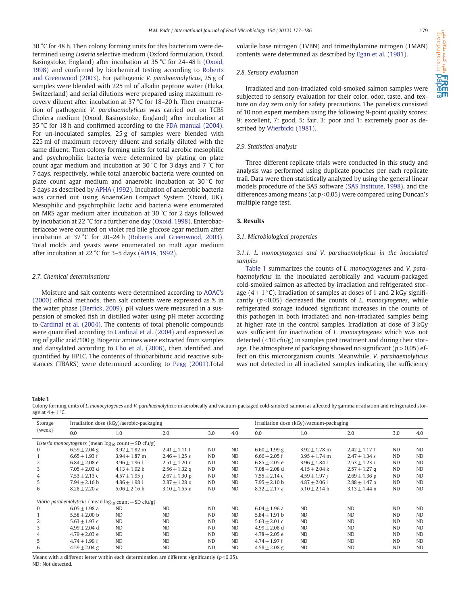<span id="page-2-0"></span>30 °C for 48 h. Then colony forming units for this bacterium were determined using Listeria selective medium (Oxford formulation, Oxoid, Basingstoke, England) after incubation at 35 °C for 24–48 h [\(Oxoid,](#page-9-0) [1998\)](#page-9-0) and confirmed by biochemical testing according to [Roberts](#page-9-0) [and Greenwood \(2003\)](#page-9-0). For pathogenic V. parahaemolyticus, 25 g of samples were blended with 225 ml of alkalin peptone water (Fluka, Switzerland) and serial dilutions were prepared using maximum recovery diluent after incubation at 37 °C for 18–20 h. Then enumeration of pathogenic V. parahaemolyticus was carried out on TCBS Cholera medium (Oxoid, Basingstoke, England) after incubation at 35 °C for 18 h and confirmed according to the [FDA manual \(2004\).](#page-9-0) For un-inoculated samples, 25 g of samples were blended with 225 ml of maximum recovery diluent and serially diluted with the same diluent. Then colony forming units for total aerobic mesophilic and psychrophilic bacteria were determined by plating on plate count agar medium and incubation at 30 °C for 3 days and 7 °C for 7 days, respectively, while total anaerobic bacteria were counted on plate count agar medium and anaerobic incubation at 30 °C for 3 days as described by [APHA \(1992\)](#page-9-0). Incubation of anaerobic bacteria was carried out using AnaeroGen Compact System (Oxoid, UK). Mesophilic and psychrophilic lactic acid bacteria were enumerated on MRS agar medium after incubation at 30 °C for 2 days followed by incubation at 22 °C for a further one day [\(Oxoid, 1998\)](#page-9-0). Enterobacteriaceae were counted on violet red bile glucose agar medium after incubation at 37 °C for 20–24 h ([Roberts and Greenwood, 2003](#page-9-0)). Total molds and yeasts were enumerated on malt agar medium after incubation at 22 °C for 3–5 days [\(APHA, 1992\)](#page-9-0).

#### 2.7. Chemical determinations

Moisture and salt contents were determined according to [AOAC's](#page-9-0) [\(2000\)](#page-9-0) official methods, then salt contents were expressed as % in the water phase ([Derrick, 2009\)](#page-9-0). pH values were measured in a suspension of smoked fish in distilled water using pH meter according to [Cardinal et al. \(2004\)](#page-9-0). The contents of total phenolic compounds were quantified according to [Cardinal et al. \(2004\)](#page-9-0) and expressed as mg of gallic acid/100 g. Biogenic amines were extracted from samples and dansylated according to [Cho et al. \(2006\)](#page-9-0), then identified and quantified by HPLC. The contents of thiobarbituric acid reactive substances (TBARS) were determined according to [Pegg \(2001\).](#page-9-0)Total volatile base nitrogen (TVBN) and trimethylamine nitrogen (TMAN) contents were determined as described by [Egan et al. \(1981\)](#page-9-0).

#### 2.8. Sensory evaluation

Irradiated and non-irradiated cold-smoked salmon samples were subjected to sensory evaluation for their color, odor, taste, and texture on day zero only for safety precautions. The panelists consisted of 10 non expert members using the following 9-point quality scores: 9: excellent, 7: good, 5: fair, 3: poor and 1: extremely poor as described by [Wierbicki \(1981\)](#page-9-0).

#### 2.9. Statistical analysis

Three different replicate trials were conducted in this study and analysis was performed using duplicate pouches per each replicate trail. Data were then statistically analyzed by using the general linear models procedure of the SAS software ([SAS Institute, 1998\)](#page-9-0), and the differences among means (at  $p<0.05$ ) were compared using Duncan's multiple range test.

#### 3. Results

#### 3.1. Microbiological properties

3.1.1. L. monocytogenes and V. parahaemolyticus in the inoculated samples

Table 1 summarizes the counts of L. monocytogenes and V. parahaemolyticus in the inoculated aerobically and vacuum-packaged cold-smoked salmon as affected by irradiation and refrigerated storage  $(4 \pm 1 \degree C)$ . Irradiation of samples at doses of 1 and 2 kGy significantly ( $p$ <0.05) decreased the counts of L. monocytogenes, while refrigerated storage induced significant increases in the counts of this pathogen in both irradiated and non-irradiated samples being at higher rate in the control samples. Irradiation at dose of 3 kGy was sufficient for inactivation of L. monocytogenes which was not detected  $\left($  < 10 cfu/g) in samples post treatment and during their storage. The atmosphere of packaging showed no significant ( $p > 0.05$ ) effect on this microorganism counts. Meanwhile, V. parahaemolyticus was not detected in all irradiated samples indicating the sufficiency

Table 1

Colony forming units of L. monocytogenes and V. parahaemolyticus in aerobically and vacuum-packaged cold-smoked salmon as affected by gamma irradiation and refrigerated storage at  $4 \pm 1$  °C.

| Storage<br>(week) | Irradiation dose (kGy)/aerobic-packaging |                                                               |                   |           |           | Irradiation dose (kGy)/vacuum-packaging |                   |                   |                |           |
|-------------------|------------------------------------------|---------------------------------------------------------------|-------------------|-----------|-----------|-----------------------------------------|-------------------|-------------------|----------------|-----------|
|                   | 0.0                                      | 1.0                                                           | 2.0               | 3.0       | 4.0       | 0.0                                     | 1.0               | 2.0               | 3.0            | 4.0       |
|                   |                                          | Listeria monocytogenes (mean $log_{10}$ count $\pm$ SD cfu/g) |                   |           |           |                                         |                   |                   |                |           |
| $\Omega$          | $6.59 \pm 2.04$ g                        | $3.92 \pm 1.82$ m                                             | $2.41 \pm 1.11$ t | <b>ND</b> | <b>ND</b> | $6.60 \pm 1.99$ g                       | $3.92 \pm 1.78$ m | $2.42 \pm 1.17$ t | ND.            | <b>ND</b> |
|                   | $6.65 + 1.93$ f                          | $3.94 + 1.87$ m                                               | $2.46 + 1.25$ s   | <b>ND</b> | <b>ND</b> | $6.66 + 2.05$ f                         | $3.95 + 1.74$ m   | $2.47 + 1.34$ s   | <b>ND</b>      | <b>ND</b> |
| 2                 | $6.84 + 2.08$ e                          | $3.96 + 1.96$ 1                                               | $2.51 \pm 1.20$ r | <b>ND</b> | <b>ND</b> | $6.85 \pm 2.05$ e                       | $3.96 \pm 1.841$  | $2.53 \pm 1.23$ r | <b>ND</b>      | <b>ND</b> |
| 3                 | $7.05 + 2.03$ d                          | $4.13 \pm 1.92$ k                                             | $2.56 \pm 1.32$ q | <b>ND</b> | <b>ND</b> | $7.08 + 2.08$ d                         | $4.15 + 2.04$ k   | $2.57 \pm 1.27$ q | <b>ND</b>      | <b>ND</b> |
| 4                 | $7.53 \pm 2.13$ c                        | $4.57 \pm 1.95$ i                                             | $2.67 \pm 1.30$ p | <b>ND</b> | <b>ND</b> | $7.55 + 2.14c$                          | $4.59 \pm 1.97$ i | $2.69 \pm 1.36$ p | <b>ND</b>      | <b>ND</b> |
| 5                 | $7.94 + 2.16$ b                          | $4.86 + 1.98$ i                                               | $2.87 \pm 1.28$ o | <b>ND</b> | <b>ND</b> | $7.95 + 2.10$ b                         | $4.87 + 2.06$ i   | $2.88 + 1.47$ o   | N <sub>D</sub> | <b>ND</b> |
| 6                 | $8.28 + 2.20$ a                          | $5.06 + 2.16$ h                                               | $3.10 \pm 1.55$ n | <b>ND</b> | <b>ND</b> | $8.32 + 2.17$ a                         | $5.10 + 2.14$ h   | $3.13 + 1.44$ n   | N <sub>D</sub> | <b>ND</b> |
|                   |                                          | Vibrio parahemolyticus (mean $log_{10}$ count $\pm$ SD cfu/g) |                   |           |           |                                         |                   |                   |                |           |
| 0                 | $6.05 + 1.98$ a                          | ND.                                                           | <b>ND</b>         | <b>ND</b> | <b>ND</b> | $6.04 + 1.96$ a                         | <b>ND</b>         | <b>ND</b>         | N <sub>D</sub> | <b>ND</b> |
|                   | $5.58 + 2.00$ b                          | <b>ND</b>                                                     | <b>ND</b>         | <b>ND</b> | <b>ND</b> | $5.84 + 1.91$ b                         | <b>ND</b>         | <b>ND</b>         | <b>ND</b>      | <b>ND</b> |
| 2                 | $5.63 + 1.97c$                           | <b>ND</b>                                                     | <b>ND</b>         | <b>ND</b> | <b>ND</b> | $5.63 + 2.01$ c                         | <b>ND</b>         | <b>ND</b>         | <b>ND</b>      | <b>ND</b> |
| 3                 | $4.99 + 2.04$ d                          | <b>ND</b>                                                     | <b>ND</b>         | <b>ND</b> | <b>ND</b> | $4.99 \pm 2.08$ d                       | <b>ND</b>         | <b>ND</b>         | ND.            | <b>ND</b> |
| 4                 | $4.79 + 2.03$ e                          | N <sub>D</sub>                                                | <b>ND</b>         | <b>ND</b> | <b>ND</b> | $4.78 + 2.05$ e                         | <b>ND</b>         | <b>ND</b>         | ND.            | <b>ND</b> |
| 5                 | $4.74 + 1.99$ f                          | <b>ND</b>                                                     | <b>ND</b>         | <b>ND</b> | <b>ND</b> | $4.74 \pm 1.97$ f                       | <b>ND</b>         | <b>ND</b>         | <b>ND</b>      | <b>ND</b> |
| 6                 | $4.59 \pm 2.04$ g                        | <b>ND</b>                                                     | <b>ND</b>         | <b>ND</b> | <b>ND</b> | $4.58 \pm 2.08$ g                       | <b>ND</b>         | <b>ND</b>         | <b>ND</b>      | <b>ND</b> |

Means with a different letter within each determination are different significantly ( $p<0.05$ ). ND: Not detected.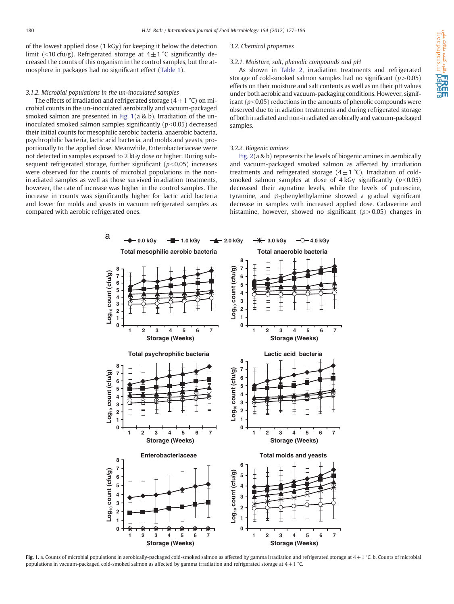of the lowest applied dose (1 kGy) for keeping it below the detection limit (<10 cfu/g). Refrigerated storage at  $4 \pm 1$  °C significantly decreased the counts of this organism in the control samples, but the atmosphere in packages had no significant effect ([Table 1](#page-2-0)).

#### 3.1.2. Microbial populations in the un-inoculated samples

### The effects of irradiation and refrigerated storage  $(4 \pm 1 \degree C)$  on microbial counts in the un-inoculated aerobically and vacuum-packaged smoked salmon are presented in Fig. 1(a & b). Irradiation of the uninoculated smoked salmon samples significantly  $(p<0.05)$  decreased their initial counts for mesophilic aerobic bacteria, anaerobic bacteria, psychrophilic bacteria, lactic acid bacteria, and molds and yeasts, proportionally to the applied dose. Meanwhile, Enterobacteriaceae were not detected in samples exposed to 2 kGy dose or higher. During subsequent refrigerated storage, further significant ( $p<0.05$ ) increases were observed for the counts of microbial populations in the nonirradiated samples as well as those survived irradiation treatments, however, the rate of increase was higher in the control samples. The increase in counts was significantly higher for lactic acid bacteria and lower for molds and yeasts in vacuum refrigerated samples as compared with aerobic refrigerated ones.

#### 3.2. Chemical properties

#### 3.2.1. Moisture, salt, phenolic compounds and pH

As shown in [Table 2,](#page-5-0) irradiation treatments and refrigerated storage of cold-smoked salmon samples had no significant ( $p > 0.05$ ) effects on their moisture and salt contents as well as on their pH values under both aerobic and vacuum-packaging conditions. However, significant ( $p<0.05$ ) reductions in the amounts of phenolic compounds were observed due to irradiation treatments and during refrigerated storage of both irradiated and non-irradiated aerobically and vacuum-packaged samples.

#### 3.2.2. Biogenic amines

[Fig. 2](#page-6-0)(a & b) represents the levels of biogenic amines in aerobically and vacuum-packaged smoked salmon as affected by irradiation treatments and refrigerated storage  $(4\pm1$  °C). Irradiation of coldsmoked salmon samples at dose of  $4$  kGy significantly ( $p$ <0.05) decreased their agmatine levels, while the levels of putrescine, tyramine, and β-phenylethylamine showed a gradual significant decrease in samples with increased applied dose. Cadaverine and histamine, however, showed no significant  $(p>0.05)$  changes in



Fig. 1. a. Counts of microbial populations in aerobically-packaged cold-smoked salmon as affected by gamma irradiation and refrigerated storage at  $4 \pm 1$  °C. b. Counts of microbial populations in vacuum-packaged cold-smoked salmon as affected by gamma irradiation and refrigerated storage at 4 $\pm$  1 °C.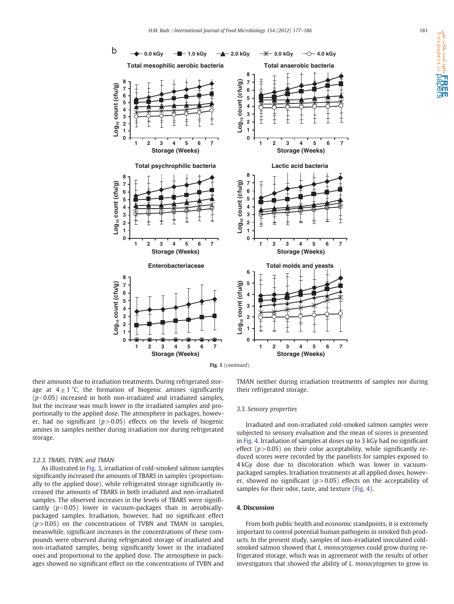

their amounts due to irradiation treatments. During refrigerated storage at  $4\pm1$  °C, the formation of biogenic amines significantly  $(p<0.05)$  increased in both non-irradiated and irradiated samples, but the increase was much lower in the irradiated samples and proportionally to the applied dose. The atmosphere in packages, however, had no significant ( $p > 0.05$ ) effects on the levels of biogenic amines in samples neither during irradiation nor during refrigerated storage.

#### 3.2.3. TBARS, TVBN, and TMAN

As illustrated in [Fig. 3,](#page-8-0) irradiation of cold-smoked salmon samples significantly increased the amounts of TBARS in samples (proportionally to the applied dose), while refrigerated storage significantly increased the amounts of TBARS in both irradiated and non-irradiated samples. The observed increases in the levels of TBARS were significantly  $(p<0.05)$  lower in vacuum-packages than in aerobicallypackaged samples. Irradiation, however, had no significant effect  $(p> 0.05)$  on the concentrations of TVBN and TMAN in samples, meanwhile, significant increases in the concentrations of these compounds were observed during refrigerated storage of irradiated and non-irradiated samples, being significantly lower in the irradiated ones and proportional to the applied dose. The atmosphere in packages showed no significant effect on the concentrations of TVBN and TMAN neither during irradiation treatments of samples nor during their refrigerated storage.

#### 3.3. Sensory properties

Irradiated and non-irradiated cold-smoked salmon samples were subjected to sensory evaluation and the mean of scores is presented in [Fig. 4](#page-8-0). Irradiation of samples at doses up to 3 kGy had no significant effect  $(p > 0.05)$  on their color acceptability, while significantly reduced scores were recorded by the panelists for samples exposed to 4 kGy dose due to discoloration which was lower in vacuumpackaged samples. Irradiation treatments at all applied doses, however, showed no significant ( $p > 0.05$ ) effects on the acceptability of samples for their odor, taste, and texture ([Fig. 4](#page-8-0)).

#### 4. Discussion

From both public health and economic standpoints, it is extremely important to control potential human pathogens in smoked fish products. In the present study, samples of non-irradiated inoculated coldsmoked salmon showed that L. monocytogenes could grow during refrigerated storage, which was in agreement with the results of other investigators that showed the ability of L. monocytogenes to grow in

**ا REI**<br>freepapers.ir paper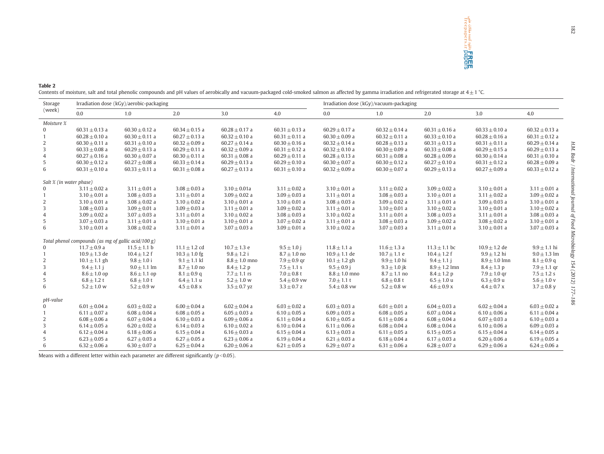**CREE REEL**<br>Treepapers.ir **papers** 

#### <span id="page-5-0"></span>Table 2

Contents of moisture, salt and total phenolic compounds and pH values of aerobically and vacuum-packaged cold-smoked salmon as affected by gamma irradiation and refrigerated storage at 4 $\pm$  1 °C.

| Storage<br>(week)       | Irradiation dose (kGy)/aerobic-packaging            |                    |                    |                    |                    | Irradiation dose (kGy)/vacuum-packaging |                    |                    |                    |                    |  |
|-------------------------|-----------------------------------------------------|--------------------|--------------------|--------------------|--------------------|-----------------------------------------|--------------------|--------------------|--------------------|--------------------|--|
|                         | 0.0                                                 | 1.0                | 2.0                | 3.0                | 4.0                | 0.0                                     | 1.0                | 2.0                | 3.0                | 4.0                |  |
| Moisture %              |                                                     |                    |                    |                    |                    |                                         |                    |                    |                    |                    |  |
| $\overline{0}$          | $60.31 \pm 0.13$ a                                  | $60.30 \pm 0.12$ a | $60.34 \pm 0.15$ a | $60.28 \pm 0.17$ a | $60.31 \pm 0.13$ a | $60.29 \pm 0.17$ a                      | $60.32 \pm 0.14$ a | $60.31 \pm 0.16$ a | $60.33 \pm 0.10$ a | $60.32 \pm 0.13$ a |  |
|                         | $60.28 \pm 0.10$ a                                  | $60.30 \pm 0.11$ a | $60.27 \pm 0.13$ a | $60.32 \pm 0.10$ a | $60.31 \pm 0.11$ a | $60.30 \pm 0.09$ a                      | $60.32 \pm 0.11$ a | $60.33 \pm 0.10$ a | $60.28 \pm 0.16$ a | $60.31 \pm 0.12$ a |  |
| $\overline{c}$          | $60.30 \pm 0.11$ a                                  | $60.31 \pm 0.10$ a | $60.32 \pm 0.09$ a | $60.27 \pm 0.14$ a | $60.30 \pm 0.16$ a | $60.32 \pm 0.14$ a                      | $60.28 \pm 0.13$ a | $60.31 \pm 0.13$ a | $60.31 \pm 0.11$ a | $60.29 \pm 0.14$ a |  |
| 3                       | $60.33 \pm 0.08$ a                                  | $60.29 \pm 0.13$ a | $60.29 \pm 0.11$ a | $60.32 \pm 0.09$ a | $60.31 \pm 0.12$ a | $60.32 \pm 0.10$ a                      | $60.30 \pm 0.09$ a | $60.33 \pm 0.08$ a | $60.29 \pm 0.15$ a | $60.29 \pm 0.13$ a |  |
| 4                       | $60.27 \pm 0.16$ a                                  | $60.30 \pm 0.07$ a | $60.30 \pm 0.11$ a | $60.31 \pm 0.08$ a | $60.29 \pm 0.11$ a | $60.28 \pm 0.13$ a                      | $60.31 \pm 0.08$ a | $60.28 \pm 0.09$ a | $60.30 \pm 0.14$ a | $60.31 \pm 0.10$ a |  |
| 5                       | $60.30 \pm 0.12$ a                                  | $60.27 \pm 0.08$ a | $60.33 \pm 0.14$ a | $60.29 \pm 0.13$ a | $60.29 \pm 0.10$ a | $60.30 \pm 0.07$ a                      | $60.30 \pm 0.12$ a | $60.27 \pm 0.10$ a | $60.31 \pm 0.12$ a | $60.28 \pm 0.09$ a |  |
| 6                       | $60.31 \pm 0.10$ a                                  | $60.33 \pm 0.11$ a | $60.31 \pm 0.08$ a | $60.27 \pm 0.13$ a | $60.31 \pm 0.10$ a | $60.32 \pm 0.09$ a                      | $60.30 \pm 0.07$ a | $60.29 \pm 0.13$ a | $60.27 \pm 0.09$ a | $60.33 \pm 0.12$ a |  |
| Salt % (in water phase) |                                                     |                    |                    |                    |                    |                                         |                    |                    |                    |                    |  |
| $\Omega$                | $3.11 \pm 0.02$ a                                   | $3.11 \pm 0.01$ a  | $3.08 \pm 0.03$ a  | $3.10 \pm 0.01a$   | $3.11 \pm 0.02$ a  | $3.10 \pm 0.01$ a                       | $3.11 \pm 0.02$ a  | $3.09 \pm 0.02$ a  | $3.10 \pm 0.01$ a  | $3.11 \pm 0.01$ a  |  |
| $\overline{1}$          | $3.10 \pm 0.01$ a                                   | $3.08 \pm 0.03$ a  | $3.11 \pm 0.01$ a  | $3.09 \pm 0.02$ a  | $3.09 \pm 0.03$ a  | $3.11 \pm 0.01$ a                       | $3.08 \pm 0.03$ a  | $3.10 \pm 0.01$ a  | $3.11 \pm 0.02$ a  | $3.09 \pm 0.02$ a  |  |
| 2                       | $3.10 \pm 0.01$ a                                   | $3.08 \pm 0.02$ a  | $3.10 \pm 0.02$ a  | $3.10 \pm 0.01$ a  | $3.10 \pm 0.01$ a  | $3.08 \pm 0.03$ a                       | $3.09 \pm 0.02$ a  | $3.11 \pm 0.01$ a  | $3.09 \pm 0.03$ a  | $3.10 \pm 0.01$ a  |  |
| 3                       | $3.08 \pm 0.03$ a                                   | $3.09 \pm 0.01$ a  | $3.09 \pm 0.03$ a  | $3.11 \pm 0.01$ a  | $3.09 \pm 0.02$ a  | $3.11 \pm 0.01$ a                       | $3.10 \pm 0.01$ a  | $3.10 \pm 0.02$ a  | $3.10 \pm 0.01$ a  | $3.10 \pm 0.02$ a  |  |
| $\overline{4}$          | $3.09 \pm 0.02$ a                                   | $3.07 \pm 0.03$ a  | $3.11 \pm 0.01$ a  | $3.10 \pm 0.02$ a  | $3.08 \pm 0.03$ a  | $3.10 \pm 0.02$ a                       | $3.11 \pm 0.01$ a  | $3.08 \pm 0.03$ a  | $3.11 \pm 0.01$ a  | $3.08 \pm 0.03$ a  |  |
| 5                       | $3.07 \pm 0.03$ a                                   | $3.11 \pm 0.01$ a  | $3.10 \pm 0.01$ a  | $3.10 \pm 0.01$ a  | $3.07 \pm 0.02$ a  | $3.11 \pm 0.01$ a                       | $3.08 \pm 0.03$ a  | $3.09 \pm 0.02$ a  | $3.08 \pm 0.02$ a  | $3.10 \pm 0.01$ a  |  |
| 6                       | $3.10 \pm 0.01$ a                                   | $3.08 \pm 0.02$ a  | $3.11 \pm 0.01$ a  | $3.07 \pm 0.03$ a  | $3.09 \pm 0.01$ a  | $3.10 \pm 0.02$ a                       | $3.07 \pm 0.03$ a  | $3.11 \pm 0.01$ a  | $3.10 \pm 0.01$ a  | $3.07 \pm 0.03$ a  |  |
|                         | Total phenol compounds (as mg of gallic acid/100 g) |                    |                    |                    |                    |                                         |                    |                    |                    |                    |  |
| $\Omega$                | $11.7 \pm 0.9$ a                                    | $11.5 \pm 1.1$ b   | $11.1 \pm 1.2$ cd  | $10.7 \pm 1.3$ e   | $9.5 \pm 1.0$ j    | $11.8 \pm 1.1 a$                        | $11.6 \pm 1.3$ a   | $11.3 \pm 1.1$ bc  | $10.9 \pm 1.2$ de  | $9.9 \pm 1.1$ hi   |  |
|                         | $10.9 \pm 1.3$ de                                   | $10.4 \pm 1.2$ f   | $10.3 \pm 1.0$ fg  | $9.8 \pm 1.2$ i    | $8.7 \pm 1.0$ no   | $10.9 \pm 1.1$ de                       | $10.7 \pm 1.1$ e   | $10.4 \pm 1.2$ f   | $9.9 \pm 1.2$ hi   | $9.0 \pm 1.3$ lm   |  |
| 2                       | $10.1 \pm 1.1$ gh                                   | $9.8 \pm 1.0 i$    | $9.1 \pm 1.1$ kl   | $8.8 \pm 1.0$ mno  | $7.9 \pm 0.9$ gr   | $10.1 \pm 1.2$ gh                       | $9.9 \pm 1.0$ hi   | $9.4 \pm 1.1$ i    | $8.9 \pm 1.0$ lmn  | $8.1 \pm 0.9$ q    |  |
| 3                       | $9.4 \pm 1.1$ i                                     | $9.0 \pm 1.1$ lm   | $8.7 \pm 1.0$ no   | $8.4 \pm 1.2$ p    | $7.5 \pm 1.1$ s    | $9.5 \pm 0.9$ i                         | $9.3 \pm 1.0$ jk   | $8.9 \pm 1.2$ lmn  | $8.4 \pm 1.3$ p    | $7.9 \pm 1.1$ gr   |  |
| $\overline{4}$          | $8.6 \pm 1.0$ op                                    | $8.6 \pm 1.1$ op   | $8.1 \pm 0.9$ q    | $7.7 \pm 1.1$ rs   | $7.0 \pm 0.8$ t    | $8.8 \pm 1.0$ mno                       | $8.7 \pm 1.1$ no   | $8.4 \pm 1.2$ p    | $7.9 \pm 1.0$ qr   | $7.5 \pm 1.2$ s    |  |
| 5                       | $6.8 \pm 1.2$ t                                     | $6.8 \pm 1.0 t$    | $6.4 \pm 1.1 u$    | $5.2 \pm 1.0$ w    | $5.4 \pm 0.9$ vw   | $7.0 \pm 1.1$ t                         | $6.8 \pm 0.8$ t    | $6.5 \pm 1.0 u$    | $6.3 \pm 0.9$ u    | $5.6 \pm 1.0$ v    |  |
| 6                       | $5.2 \pm 1.0$ w                                     | $5.2 \pm 0.9$ w    | $4.5\pm0.8$ x      | $3.5 \pm 0.7$ yz   | $3.3 \pm 0.7$ z    | $5.4 \pm 0.8$ vw                        | $5.2 \pm 0.8$ w    | $4.6 \pm 0.9$ x    | $4.4 \pm 0.7$ x    | $3.7 \pm 0.8$ y    |  |
| pH-value                |                                                     |                    |                    |                    |                    |                                         |                    |                    |                    |                    |  |
| $\overline{0}$          | $6.01 \pm 0.04$ a                                   | $6.03 \pm 0.02$ a  | $6.00 \pm 0.04$ a  | $6.02 \pm 0.04$ a  | $6.03 + 0.02$ a    | $6.03 + 0.03$ a                         | $6.01 \pm 0.01$ a  | $6.04 \pm 0.03$ a  | $6.02 \pm 0.04$ a  | $6.03 + 0.02$ a    |  |
|                         | $6.11 + 0.07$ a                                     | $6.08 \pm 0.04$ a  | $6.08 \pm 0.05$ a  | $6.05 \pm 0.03$ a  | $6.10 + 0.05$ a    | $6.09 \pm 0.03$ a                       | $6.08 + 0.05$ a    | $6.07 \pm 0.04$ a  | $6.10 \pm 0.06$ a  | $6.11 \pm 0.04$ a  |  |
| 2                       | $6.08 \pm 0.06$ a                                   | $6.07 \pm 0.04$ a  | $6.10 \pm 0.03$ a  | $6.09 \pm 0.06$ a  | $6.11 \pm 0.04$ a  | $6.10 \pm 0.05$ a                       | $6.11 \pm 0.06$ a  | $6.08 \pm 0.04$ a  | $6.07 \pm 0.03$ a  | $6.10 \pm 0.03$ a  |  |
| 3                       | $6.14 \pm 0.05$ a                                   | $6.20 \pm 0.02$ a  | $6.14 \pm 0.03$ a  | $6.10 \pm 0.02$ a  | $6.10 \pm 0.04$ a  | $6.11 \pm 0.06$ a                       | $6.08 \pm 0.04$ a  | $6.08 \pm 0.04$ a  | $6.10 \pm 0.06$ a  | $6.09 \pm 0.03$ a  |  |
| 4                       | $6.12 \pm 0.04$ a                                   | $6.18 \pm 0.06$ a  | $6.15 \pm 0.04$ a  | $6.16 \pm 0.03$ a  | $6.15 \pm 0.04$ a  | $6.13 \pm 0.03$ a                       | $6.11 \pm 0.05$ a  | $6.15 \pm 0.05$ a  | $6.15 \pm 0.04$ a  | $6.14 \pm 0.05$ a  |  |
| 5                       | $6.23 + 0.05$ a                                     | $6.27 + 0.03$ a    | $6.27 + 0.05$ a    | $6.23 + 0.06$ a    | $6.19 + 0.04$ a    | $6.21 \pm 0.03$ a                       | $6.18 + 0.04$ a    | $6.17 \pm 0.03$ a  | $6.20 + 0.06$ a    | $6.19 + 0.05$ a    |  |
| 6                       | $6.32 \pm 0.06$ a                                   | $6.30 \pm 0.07$ a  | $6.25 \pm 0.04$ a  | $6.20 \pm 0.06$ a  | $6.21 \pm 0.05$ a  | $6.29 \pm 0.07$ a                       | $6.31 \pm 0.06$ a  | $6.28 \pm 0.07$ a  | $6.29 \pm 0.06$ a  | $6.24 \pm 0.06$ a  |  |

Means with a different letter within each parameter are different significantly ( $p<0.05$ ).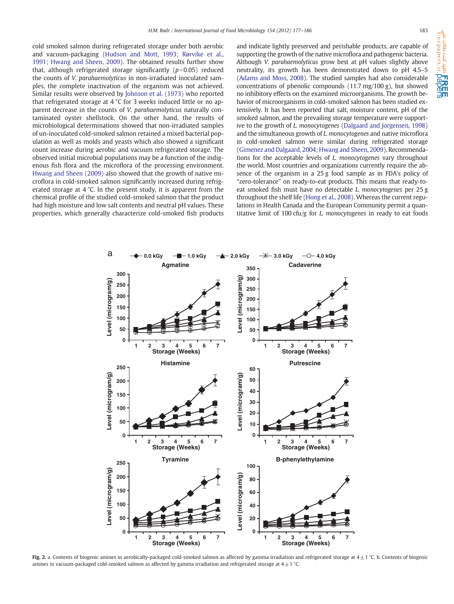<span id="page-6-0"></span>cold smoked salmon during refrigerated storage under both aerobic and vacuum-packaging ([Hudson and Mott, 1993; Rørvike et al.,](#page-9-0) [1991; Hwang and Sheen, 2009\)](#page-9-0). The obtained results further show that, although refrigerated storage significantly ( $p<0.05$ ) reduced the counts of V. parahaemolyticus in non-irradiated inoculated samples, the complete inactivation of the organism was not achieved. Similar results were observed by [Johnson et al. \(1973\)](#page-9-0) who reported that refrigerated storage at 4 °C for 3 weeks induced little or no apparent decrease in the counts of V. parahaemolyticus naturally contaminated oyster shellstock. On the other hand, the results of microbiological determinations showed that non-irradiated samples of un-inoculated cold-smoked salmon retained a mixed bacterial population as well as molds and yeasts which also showed a significant count increase during aerobic and vacuum refrigerated storage. The observed initial microbial populations may be a function of the indigenous fish flora and the microflora of the processing environment. [Hwang and Sheen \(2009\)](#page-9-0) also showed that the growth of native microflora in cold-smoked salmon significantly increased during refrigerated storage at 4 °C. In the present study, it is apparent from the chemical profile of the studied cold-smoked salmon that the product had high moisture and low salt contents and neutral pH values. These properties, which generally characterize cold-smoked fish products and indicate lightly preserved and perishable products, are capable of supporting the growth of the native microflora and pathogenic bacteria. Although V. parahaemolyticus grow best at pH values slightly above neutrality, its growth has been demonstrated down to pH 4.5–5 [\(Adams and Moss, 2008](#page-9-0)). The studied samples had also considerable concentrations of phenolic compounds (11.7 mg/100 g), but showed no inhibitory effects on the examined microorganisms. The growth behavior of microorganisms in cold-smoked salmon has been studied extensively. It has been reported that salt, moisture content, pH of the smoked salmon, and the prevailing storage temperature were supportive to the growth of L. monocytogenes [\(Dalgaard and Jorgensen, 1998](#page-9-0)) and the simultaneous growth of L. monocytogenes and native microflora in cold-smoked salmon were similar during refrigerated storage [\(Gimenez and Dalgaard, 2004; Hwang and Sheen, 2009](#page-9-0)). Recommendations for the acceptable levels of L. monocytogenes vary throughout the world. Most countries and organizations currently require the absence of the organism in a 25 g food sample as in FDA's policy of "zero-tolerance" on ready-to-eat products. This means that ready-toeat smoked fish must have no detectable L. monocytogenes per 25 g throughout the shelf life [\(Hong et al., 2008](#page-9-0)). Whereas the current regulations in Health Canada and the European Community permit a quantitative limit of 100 cfu/g for L. monocytogenes in ready to eat foods



Fig. 2. a. Contents of biogenic amines in aerobically-packaged cold-smoked salmon as affected by gamma irradiation and refrigerated storage at  $4 \pm 1$  °C. b. Contents of biogenic amines in vacuum-packaged cold-smoked salmon as affected by gamma irradiation and refrigerated storage at  $4 \pm 1$  °C.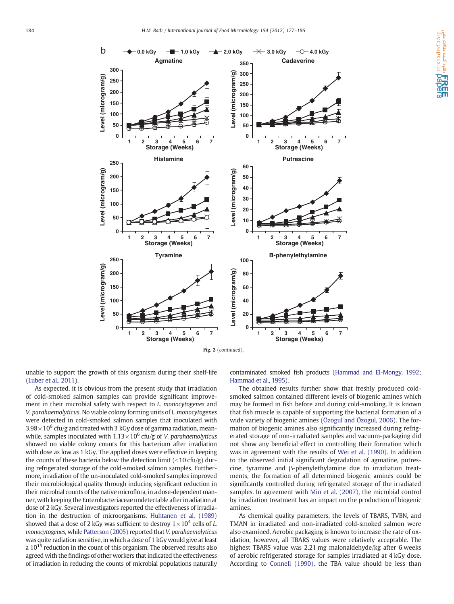

unable to support the growth of this organism during their shelf-life [\(Luber et al., 2011](#page-9-0)).

As expected, it is obvious from the present study that irradiation of cold-smoked salmon samples can provide significant improvement in their microbial safety with respect to L. monocytogenes and V. parahaemolyticus. No viable colony forming units of L. monocytogenes were detected in cold-smoked salmon samples that inoculated with  $3.98\times10^6$  cfu/g and treated with 3 kGy dose of gamma radiation, meanwhile, samples inoculated with  $1.13 \times 10^6$  cfu/g of *V. parahaemolyticus* showed no viable colony counts for this bacterium after irradiation with dose as low as 1 kGy. The applied doses were effective in keeping the counts of these bacteria below the detection limit  $\left($  < 10 cfu/g) during refrigerated storage of the cold-smoked salmon samples. Furthermore, irradiation of the un-inoculated cold-smoked samples improved their microbiological quality through inducing significant reduction in their microbial counts of the native microflora, in a dose-dependent manner, with keeping the Enterobacteriaceae undetectable after irradiation at dose of 2 kGy. Several investigators reported the effectiveness of irradiation in the destruction of microorganisms. [Huhtanen et al. \(1989\)](#page-9-0) showed that a dose of 2 kGy was sufficient to destroy  $1 \times 10^4$  cells of L. monocytogenes, while [Patterson \(2005\)](#page-9-0) reported that V. parahaemolyticus was quite radiation sensitive, in which a dose of 1 kGy would give at least a  $10^{15}$  reduction in the count of this organism. The observed results also agreed with the findings of other workers that indicated the effectiveness of irradiation in reducing the counts of microbial populations naturally contaminated smoked fish products ([Hammad and El-Mongy, 1992;](#page-9-0) [Hammad et al., 1995](#page-9-0)).

The obtained results further show that freshly produced coldsmoked salmon contained different levels of biogenic amines which may be formed in fish before and during cold-smoking. It is known that fish muscle is capable of supporting the bacterial formation of a wide variety of biogenic amines [\(Özogul and Özogul, 2006\)](#page-9-0). The formation of biogenic amines also significantly increased during refrigerated storage of non-irradiated samples and vacuum-packaging did not show any beneficial effect in controlling their formation which was in agreement with the results of [Wei et al. \(1990\)](#page-9-0). In addition to the observed initial significant degradation of agmatine, putrescine, tyramine and β-phenylethylamine due to irradiation treatments, the formation of all determined biogenic amines could be significantly controlled during refrigerated storage of the irradiated samples. In agreement with [Min et al. \(2007\)](#page-9-0), the microbial control by irradiation treatment has an impact on the production of biogenic amines.

As chemical quality parameters, the levels of TBARS, TVBN, and TMAN in irradiated and non-irradiated cold-smoked salmon were also examined. Aerobic packaging is known to increase the rate of oxidation, however, all TBARS values were relatively acceptable. The highest TBARS value was 2.21 mg malonaldehyde/kg after 6 weeks of aerobic refrigerated storage for samples irradiated at 4 kGy dose. According to [Connell \(1990\)](#page-9-0), the TBA value should be less than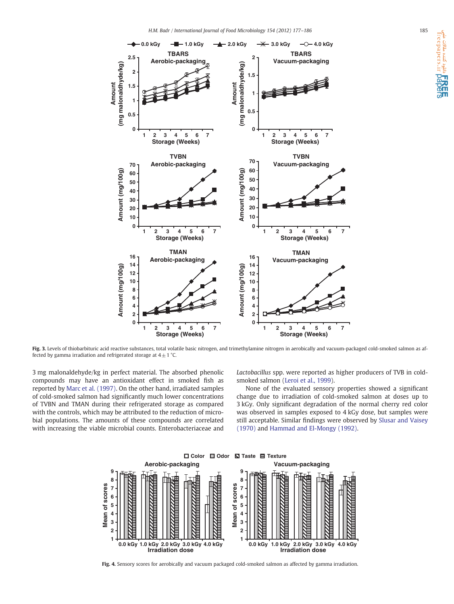<span id="page-8-0"></span>

Fig. 3. Levels of thiobarbituric acid reactive substances, total volatile basic nitrogen, and trimethylamine nitrogen in aerobically and vacuum-packaged cold-smoked salmon as affected by gamma irradiation and refrigerated storage at  $4 \pm 1$  °C.

3 mg malonaldehyde/kg in perfect material. The absorbed phenolic compounds may have an antioxidant effect in smoked fish as reported by [Marc et al. \(1997\)](#page-9-0). On the other hand, irradiated samples of cold-smoked salmon had significantly much lower concentrations of TVBN and TMAN during their refrigerated storage as compared with the controls, which may be attributed to the reduction of microbial populations. The amounts of these compounds are correlated with increasing the viable microbial counts. Enterobacteriaceae and Lactobacillus spp. were reported as higher producers of TVB in cold-smoked salmon ([Leroi et al., 1999](#page-9-0)).

None of the evaluated sensory properties showed a significant change due to irradiation of cold-smoked salmon at doses up to 3 kGy. Only significant degradation of the normal cherry red color was observed in samples exposed to 4 kGy dose, but samples were still acceptable. Similar findings were observed by [Slusar and Vaisey](#page-9-0) [\(1970\)](#page-9-0) and [Hammad and El-Mongy \(1992\).](#page-9-0)



Fig. 4. Sensory scores for aerobically and vacuum packaged cold-smoked salmon as affected by gamma irradiation.